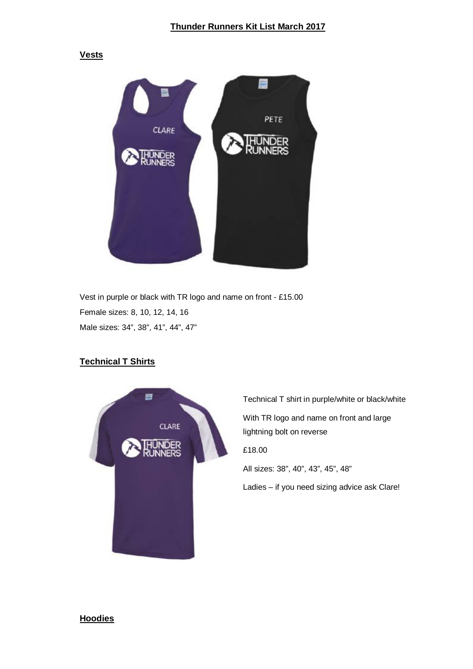#### **Vests**



Vest in purple or black with TR logo and name on front - £15.00 Female sizes: 8, 10, 12, 14, 16 Male sizes: 34", 38", 41", 44", 47"

# **Technical T Shirts**



Technical T shirt in purple/white or black/white With TR logo and name on front and large lightning bolt on reverse £18.00 All sizes: 38", 40", 43", 45", 48" Ladies – if you need sizing advice ask Clare!

#### **Hoodies**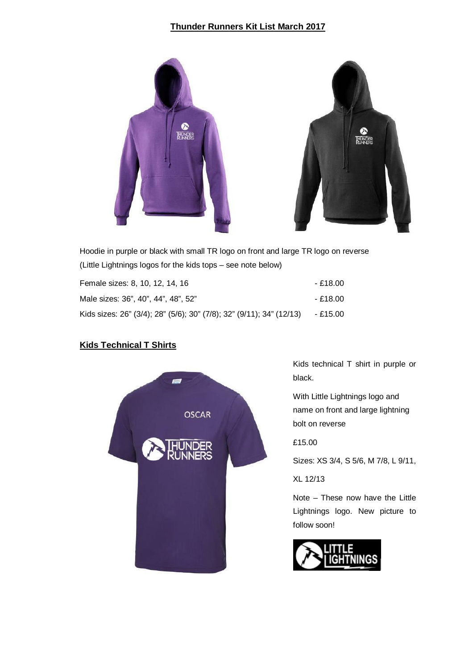# **Thunder Runners Kit List March 2017**



Hoodie in purple or black with small TR logo on front and large TR logo on reverse (Little Lightnings logos for the kids tops – see note below)

| Female sizes: 8, 10, 12, 14, 16                                      | - £18.00 |
|----------------------------------------------------------------------|----------|
| Male sizes: 36", 40", 44", 48", 52"                                  | - £18.00 |
| Kids sizes: 26" (3/4); 28" (5/6); 30" (7/8); 32" (9/11); 34" (12/13) | - £15.00 |

# **Kids Technical T Shirts**



Kids technical T shirt in purple or black.

With Little Lightnings logo and name on front and large lightning bolt on reverse

£15.00

Sizes: XS 3/4, S 5/6, M 7/8, L 9/11,

XL 12/13

Note – These now have the Little Lightnings logo. New picture to follow soon!

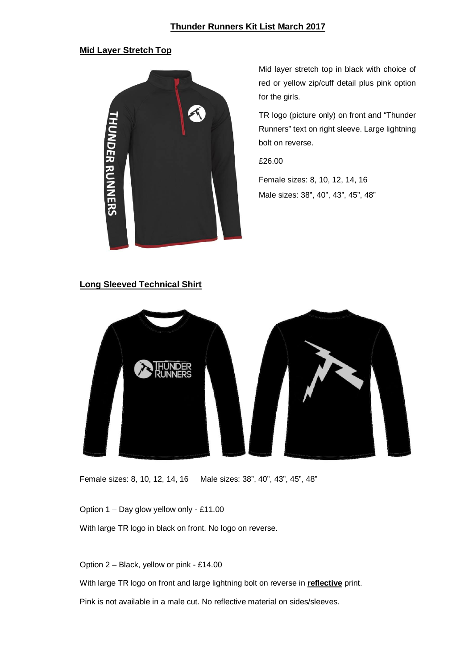## **Thunder Runners Kit List March 2017**

### **Mid Layer Stretch Top**



Mid layer stretch top in black with choice of red or yellow zip/cuff detail plus pink option for the girls.

TR logo (picture only) on front and "Thunder Runners" text on right sleeve. Large lightning bolt on reverse.

£26.00

Female sizes: 8, 10, 12, 14, 16 Male sizes: 38", 40", 43", 45", 48"

### **Long Sleeved Technical Shirt**



Female sizes: 8, 10, 12, 14, 16 Male sizes: 38", 40", 43", 45", 48"

Option 1 – Day glow yellow only - £11.00

With large TR logo in black on front. No logo on reverse.

Option 2 – Black, yellow or pink - £14.00

With large TR logo on front and large lightning bolt on reverse in **reflective** print.

Pink is not available in a male cut. No reflective material on sides/sleeves.